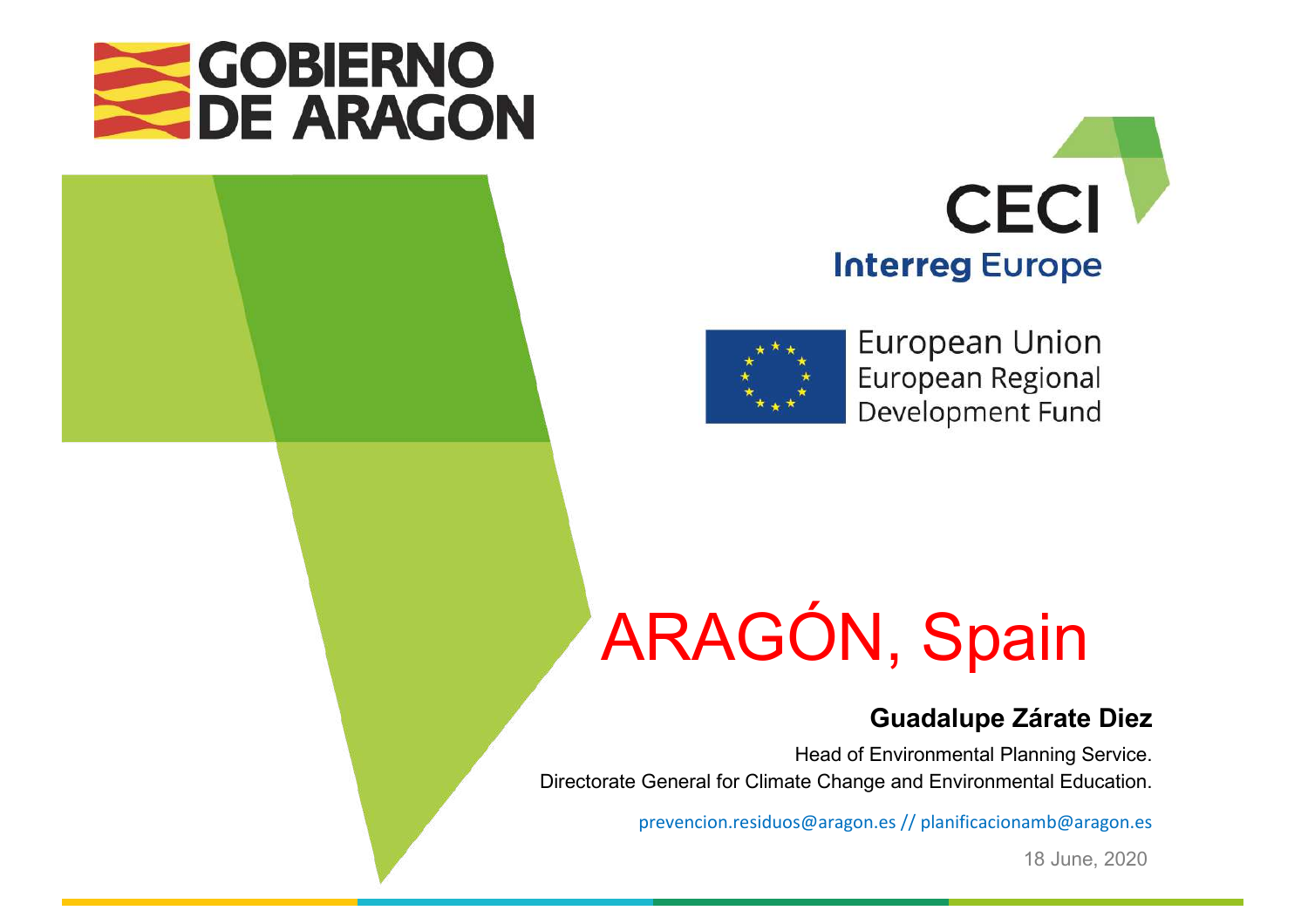





**European Union** European Regional Development Fund

# ARAGÓN, Spain

#### **Guadalupe Zárate Diez**

Head of Environmental Planning Service. Directorate General for Climate Change and Environmental Education.

prevencion.residuos@aragon.es // planificacionamb@aragon.es 

18 June, 2020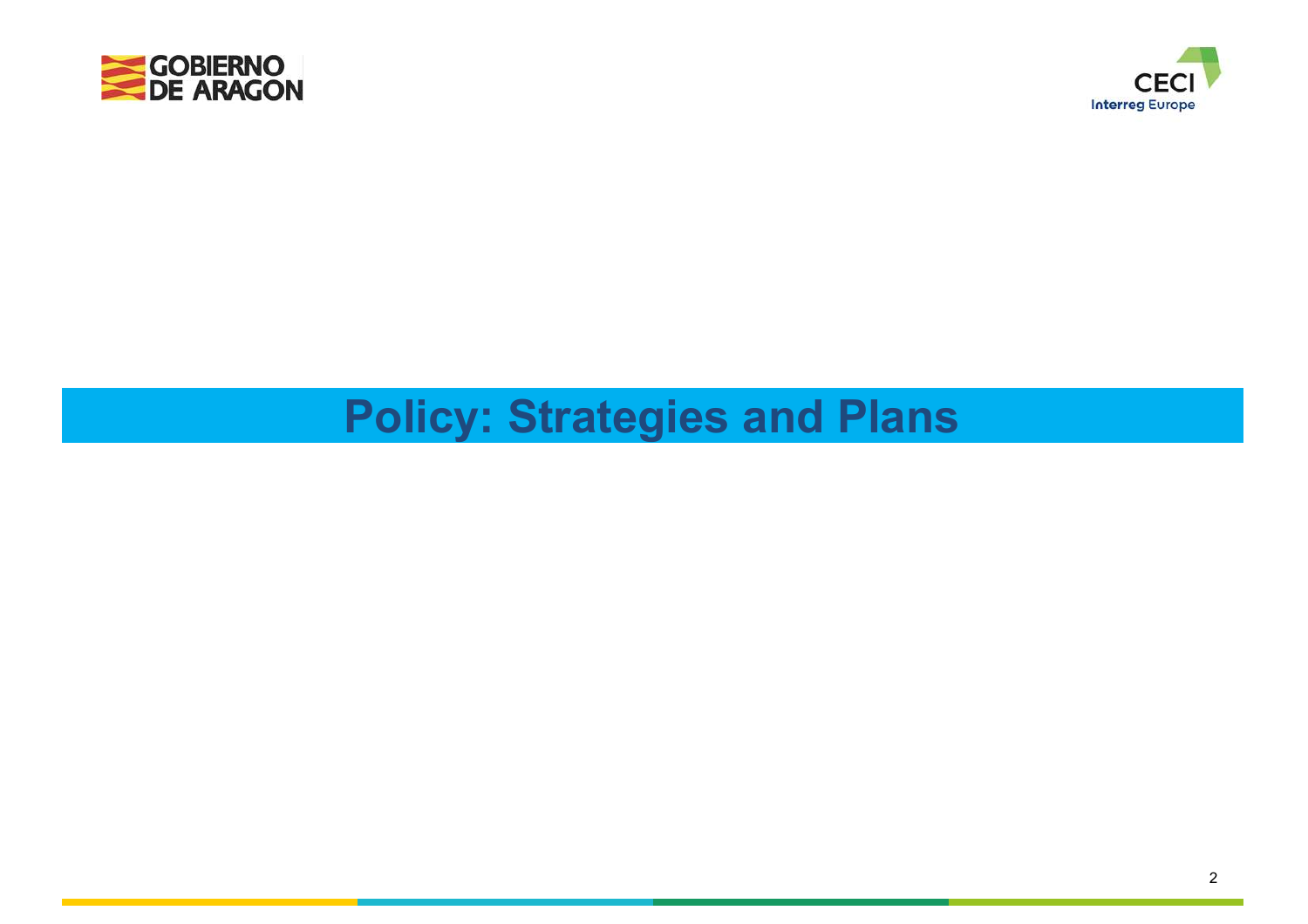



# **Policy: Strategies and Plans**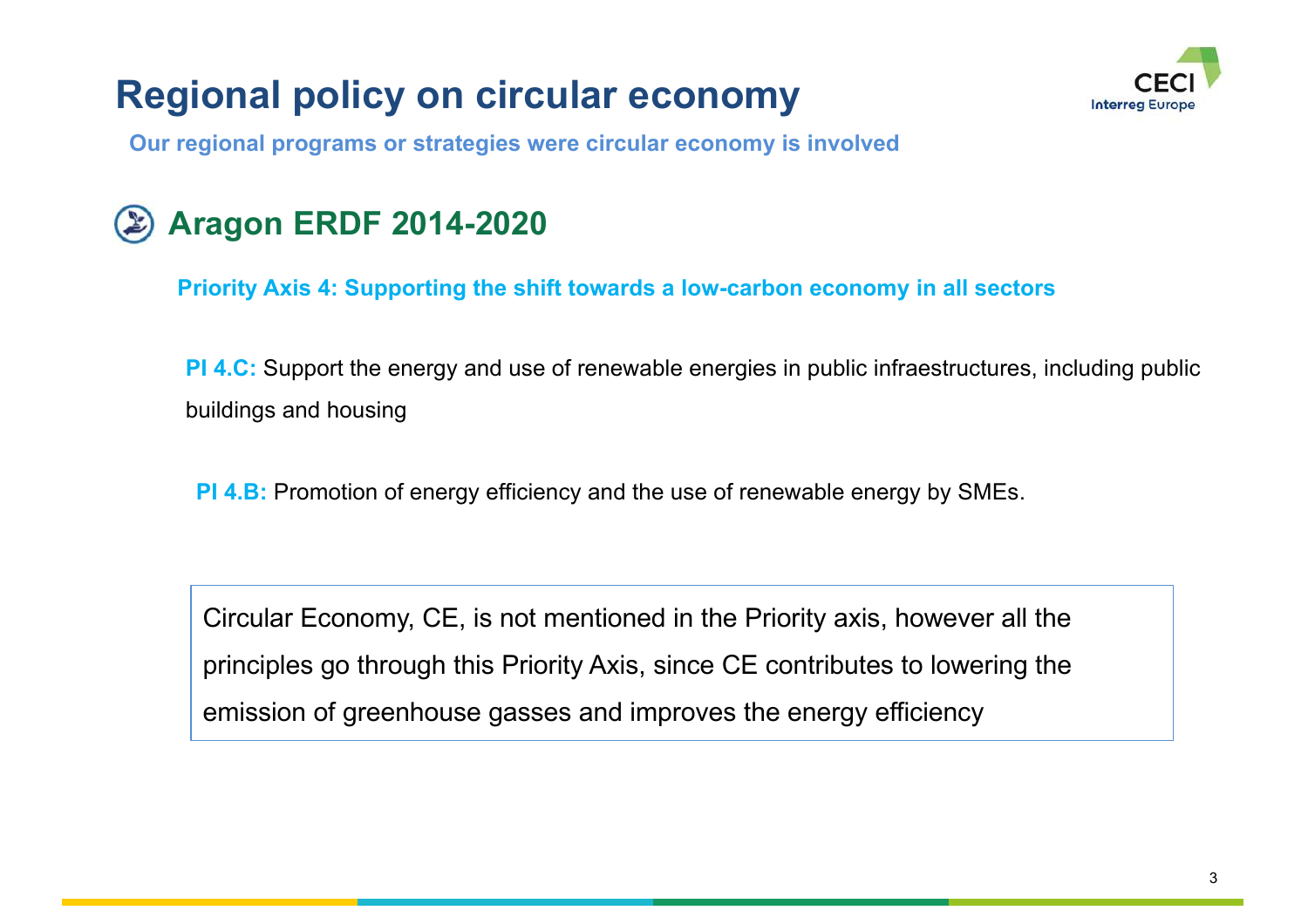# **Regional policy on circular economy**



**Our regional programs or strategies were circular economy is involved**

# **Aragon ERDF 2014-2020**

**Priority Axis 4: Supporting the shift towards a low-carbon economy in all sectors**

**PI 4.C:** Support the energy and use of renewable energies in public infraestructures, including public buildings and housing

**PI 4.B:** Promotion of energy efficiency and the use of renewable energy by SMEs.

Circular Economy, CE, is not mentioned in the Priority axis, however all the principles go through this Priority Axis, since CE contributes to lowering the emission of greenhouse gasses and improves the energy efficiency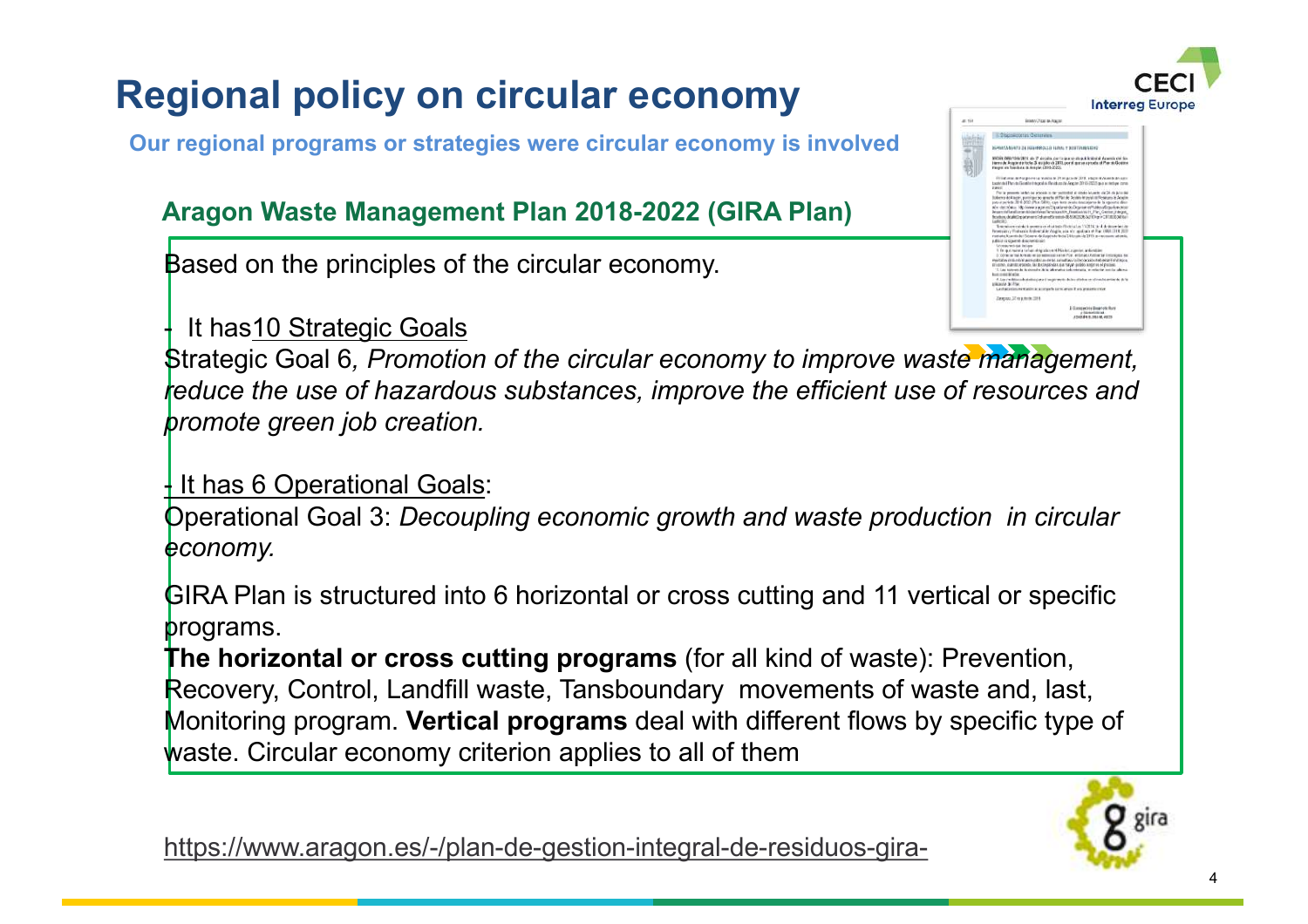

**Our regional programs or strategies were circular economy is involved**

#### **Aragon Waste Management Plan 2018-2022 (GIRA Plan)**

Based on the principles of the circular economy.

It has 10 Strategic Goals



Strategic Goal 6*, Promotion of the circular economy to improve waste management, reduce the use of hazardous substances, improve the efficient use of resources and promote green job creation.*

It has 6 Operational Goals:

Operational Goal 3: *Decoupling economic growth and waste production in circular economy.*

GIRA Plan is structured into 6 horizontal or cross cutting and 11 vertical or specific programs.

**The horizontal or cross cutting programs** (for all kind of waste): Prevention, Recovery, Control, Landfill waste, Tansboundary movements of waste and, last, Monitoring program. **Vertical programs** deal with different flows by specific type of waste. Circular economy criterion applies to all of them



https://www.aragon.es/-/plan-de-gestion-integral-de-residuos-gira-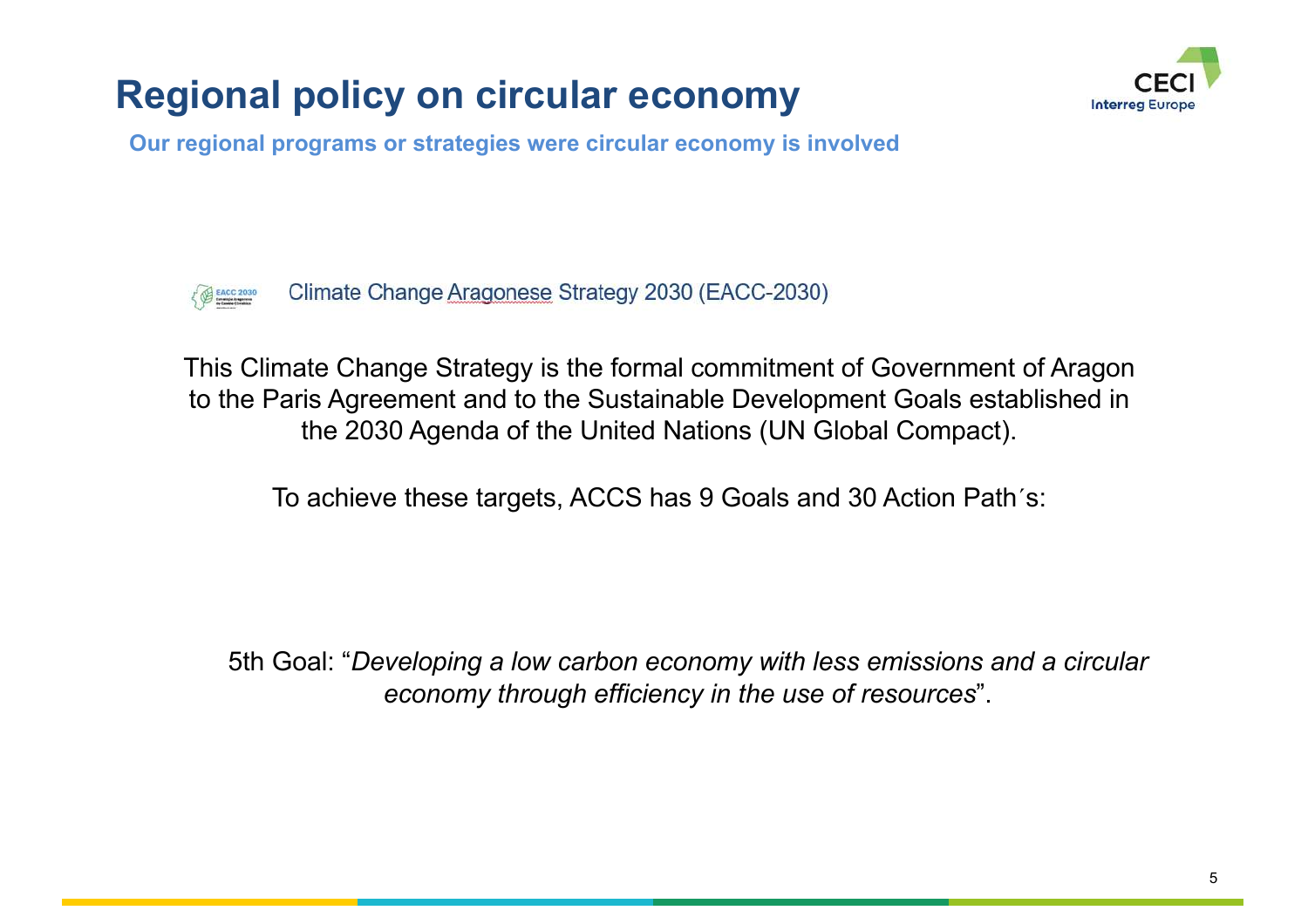# **Regional policy on circular economy**



**Our regional programs or strategies were circular economy is involved**



Climate Change Aragonese Strategy 2030 (EACC-2030)

This Climate Change Strategy is the formal commitment of Government of Aragon to the Paris Agreement and to the Sustainable Development Goals established in the 2030 Agenda of the United Nations (UN Global Compact).

To achieve these targets, ACCS has 9 Goals and 30 Action Path´s:

5th Goal: "*Developing a low carbon economy with less emissions and a circular economy through efficiency in the use of resources*".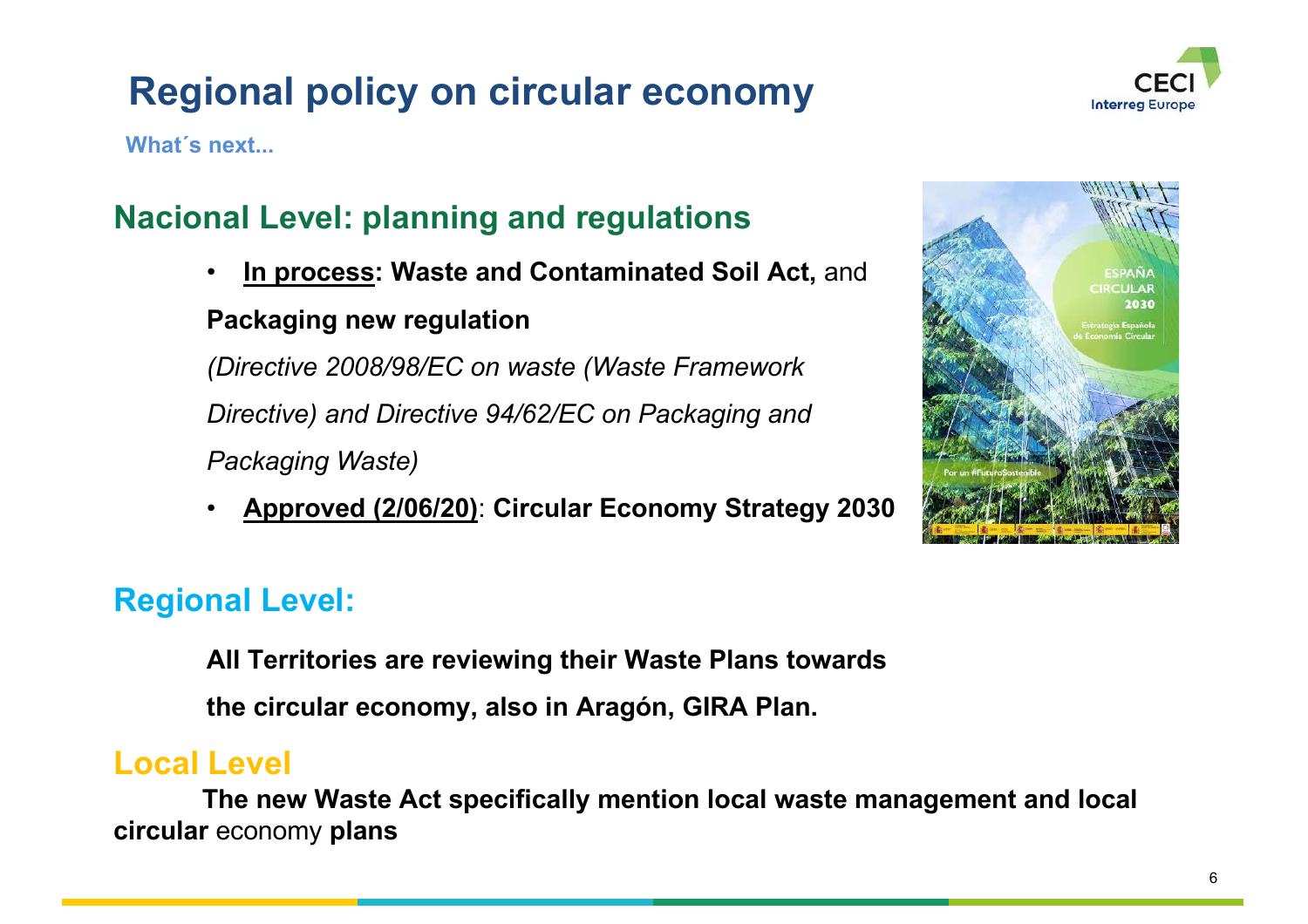# **Regional policy on circular economy**



**What´s next...**

## **Nacional Level: planning and regulations**

• **In process: Waste and Contaminated Soil Act,** and

#### **Packaging new regulation**

*(Directive 2008/98/EC on waste (Waste Framework Directive) and Directive 94/62/EC on Packaging and Packaging Waste)*

• **Approved (2/06/20)**: **Circular Economy Strategy 2030** 



## **Regional Level:**

**All Territories are reviewing their Waste Plans towards** 

**the circular economy, also in Aragón, GIRA Plan.**

### **Local Level**

**The new Waste Act specifically mention local waste management and local circular** economy **plans**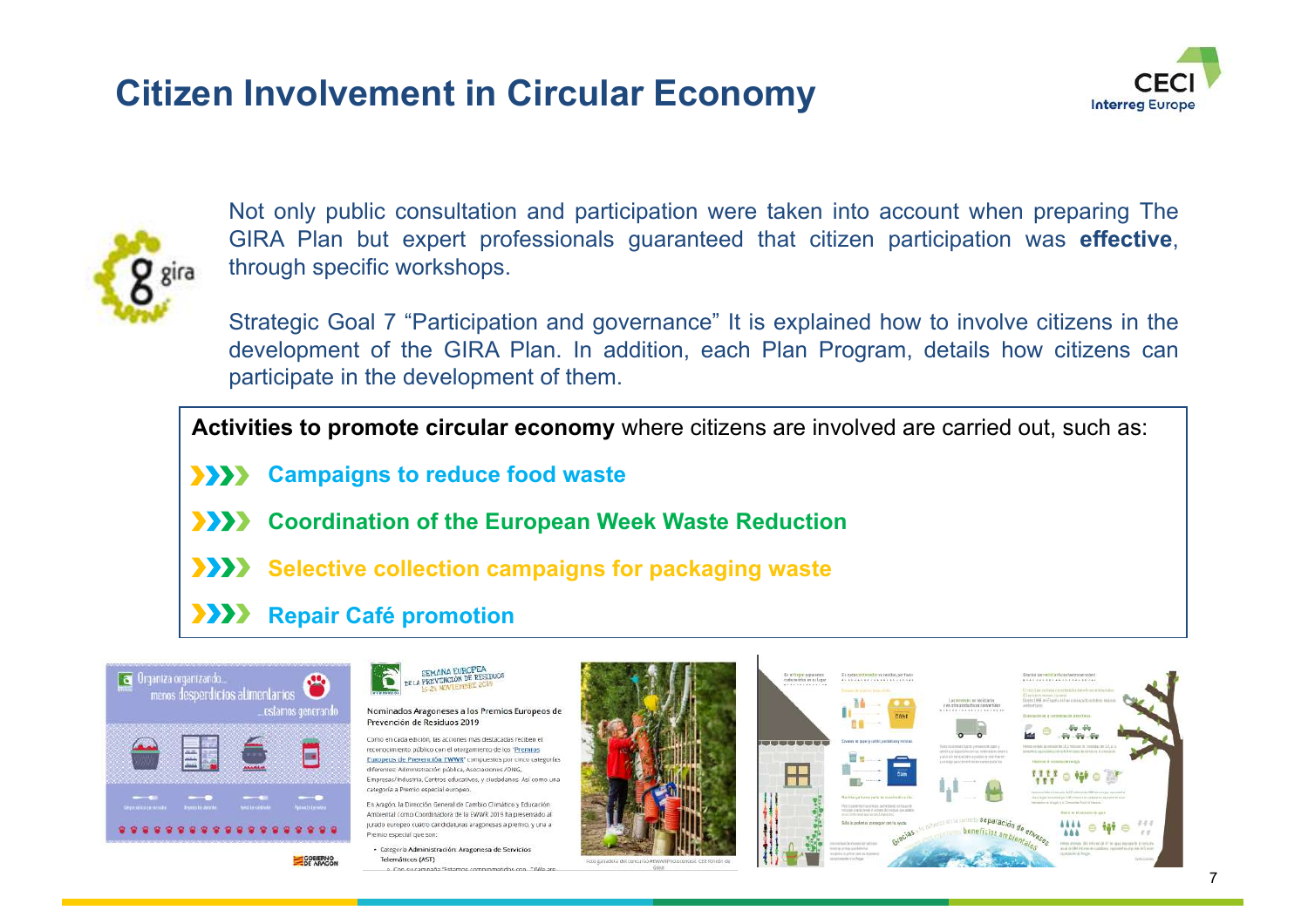## **Citizen Involvement in Circular Economy**





Not only public consultation and participation were taken into account when preparing The GIRA Plan but expert professionals guaranteed that citizen participation was **effective**, through specific workshops.

Strategic Goal 7 "Participation and governance" It is explained how to involve citizens in the development of the GIRA Plan. In addition, each Plan Program, details how citizens can participate in the development of them.

**Activities to promote circular economy** where citizens are involved are carried out, such as:

- **EXAMPLE 20 SHOW 20 SHOW 20 SHOW 20 SHOW 20 SHOW 20 SHOW 20 SHOW 20 SHOW 20 SHOW 20 SHOW 20 SHOW 20 SHOW 20 SHOW 20 SHOW 20 SHOW 20 SHOW 20 SHOW 20 SHOW 20 SHOW 20 SHOW 20 SHOW 20 SHOW 20 SHOW 20 SHOW 20 SHOW 20 SHOW 20 SH**
- $\rightarrow$ **Coordination of the European Week Waste Reduction**
- **Selective collection campaigns for packaging waste**
- $\sum$ **Repair Café promotion**



**SEMANA EUROPEA** DE LA PREVENCIÓN DE RESIDUOS

Nominados Aragoneses a los Premios Europeos de Prevención de Residuos 2019

Como en cada edición, las acciones más destacadas reciben el reconocimiento público con el otorgamiento de los "Premios" Europeos de Prevención EWWR' compuestos por cinco categorías diferentes: Administración pública, Asociaciones /ONG, Empresas/Industria, Centros educativos, y ciudadanos. Así como una categoría a Premio especial europeo.

En Aragón, la Dirección General de Cambio Climático y Educación Ambiental como Coordinadora de la EWWR 2019 ha presentado al jurado europeo cuatro candidaturas aragonesas a premio, y una a Premio especial que son:

· Categoria Administración: Aragonesa de Servicio

Telemáticos (AST)



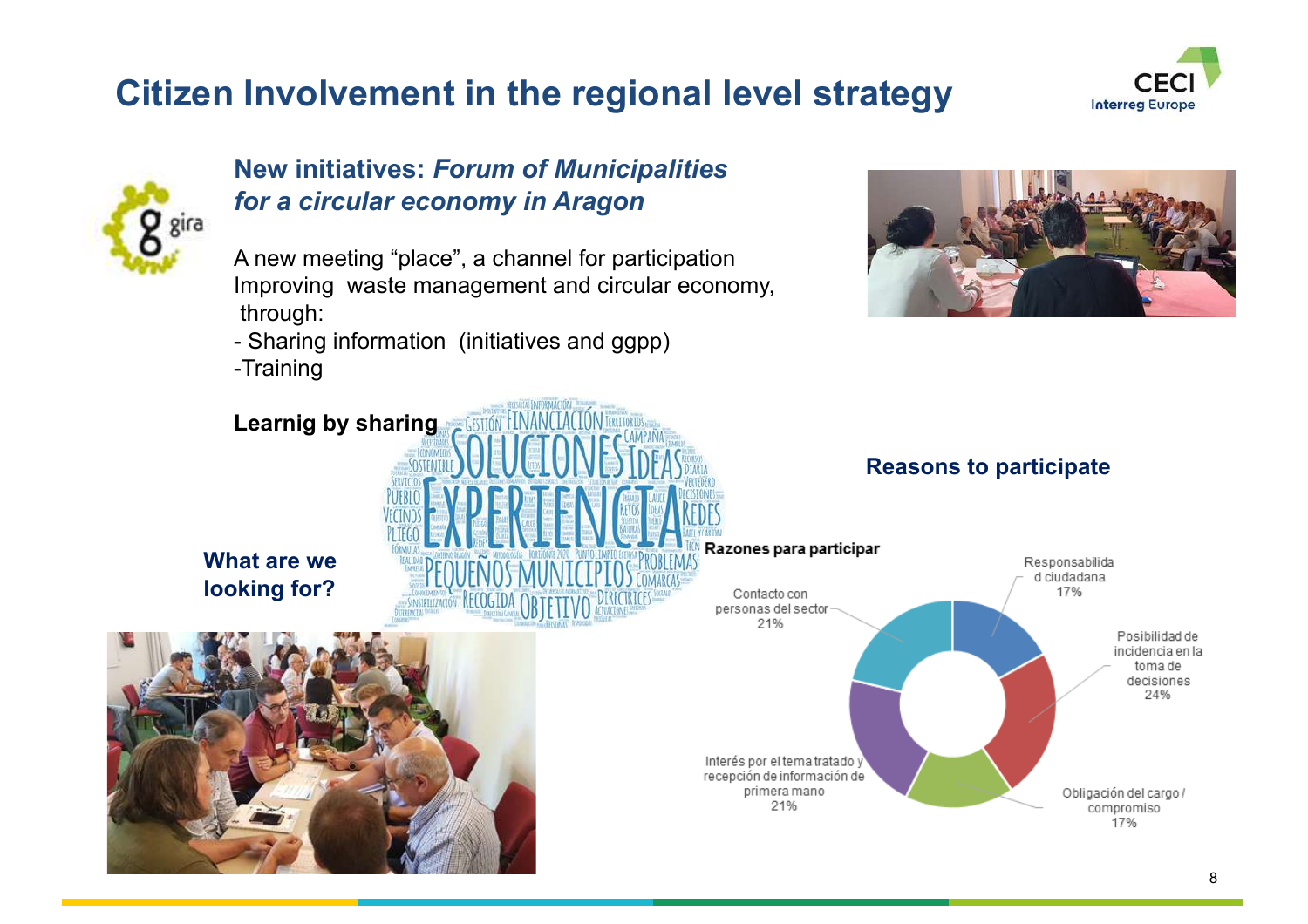# **Citizen Involvement in the regional level strategy**





#### **New initiatives:** *Forum of Municipalities for a circular economy in Aragon*

- A new meeting "place", a channel for participation Improving waste management and circular economy, through:
- Sharing information (initiatives and ggpp)
- -Training



## **Learnig by sharing Reasons to participate**Razones para participar Contacto con **STRILIZACIÓN RECOGIDA** personas del sector





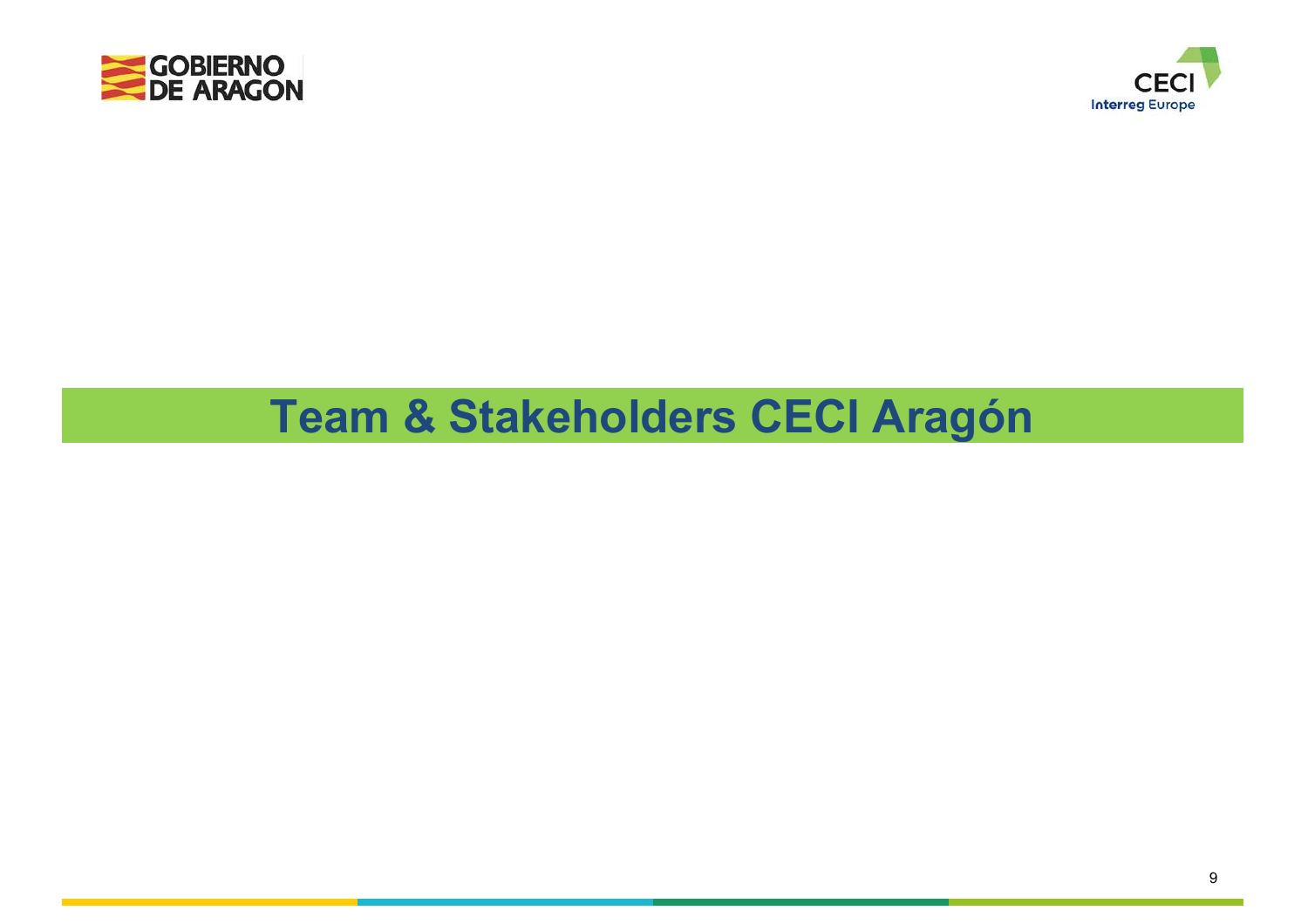



# **Team & Stakeholders CECI Aragón**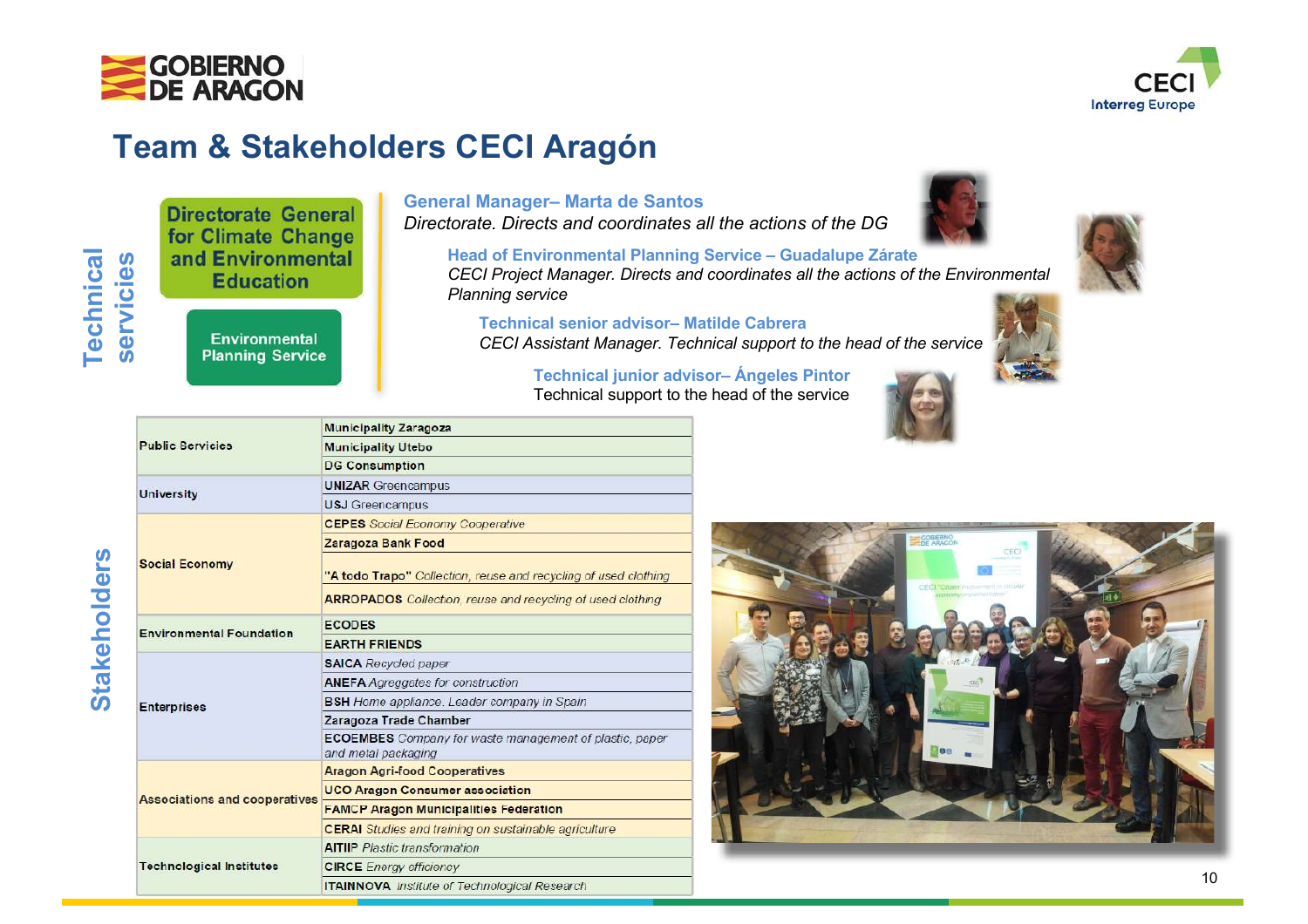



## **Team & Stakeholders CECI Aragón**

**Municipality Zaragoza** 

**Technical** Technical servicies **servicies**

**Directorate General** for Climate Change and Environmental **Education** 

> **Environmental Planning Service**

#### **General Manager– Marta de Santos**

*Directorate. Directs and coordinates all the actions of the DG* 

**Head of Environmental Planning Service – Guadalupe Zárate** *CECI Project Manager. Directs and coordinates all the actions of the Environmental Planning service*

**Technical senior advisor– Matilde Cabrera** *CECI Assistant Manager. Technical support to the head of the service* 

> **Technical junior advisor– Ángeles Pintor** Technical support to the head of the service







| <b>Public Servicies</b>              | <b>Municipality Utebo</b>                                                             |
|--------------------------------------|---------------------------------------------------------------------------------------|
|                                      | <b>DG Consumption</b>                                                                 |
| University                           | <b>UNIZAR Greencampus</b>                                                             |
|                                      | <b>USJ</b> Greencampus                                                                |
| <b>Social Economy</b>                | <b>CEPES</b> Social Economy Cooperative                                               |
|                                      | Zaragoza Bank Food                                                                    |
|                                      | "A todo Trapo" Collection, reuse and recycling of used clothing                       |
|                                      | <b>ARROPADOS</b> Collection, reuse and recycling of used clothing                     |
| <b>Environmental Foundation</b>      | <b>ECODES</b>                                                                         |
|                                      | <b>EARTH FRIENDS</b>                                                                  |
| <b>Enterprises</b>                   | <b>SAICA</b> Recycled paper                                                           |
|                                      | <b>ANEFA</b> Agreggates for construction                                              |
|                                      | <b>BSH</b> Home appliance. Leader company in Spain                                    |
|                                      | Zaragoza Trade Chamber                                                                |
|                                      | <b>ECOEMBES</b> Company for waste management of plastic, paper<br>and metal packaging |
| <b>Associations and cooperatives</b> | <b>Aragon Agri-food Cooperatives</b>                                                  |
|                                      | <b>UCO Aragon Consumer association</b>                                                |
|                                      | <b>FAMCP Aragon Municipalities Federation</b>                                         |
|                                      | <b>CERAI</b> Studies and training on sustainable agriculture                          |
| <b>Technological Institutes</b>      | <b>AITIIP</b> Plastic transformation                                                  |
|                                      | <b>CIRCE</b> Energy efficiency                                                        |
|                                      | <b>ITAINNOVA</b> Institute of Technological Research                                  |

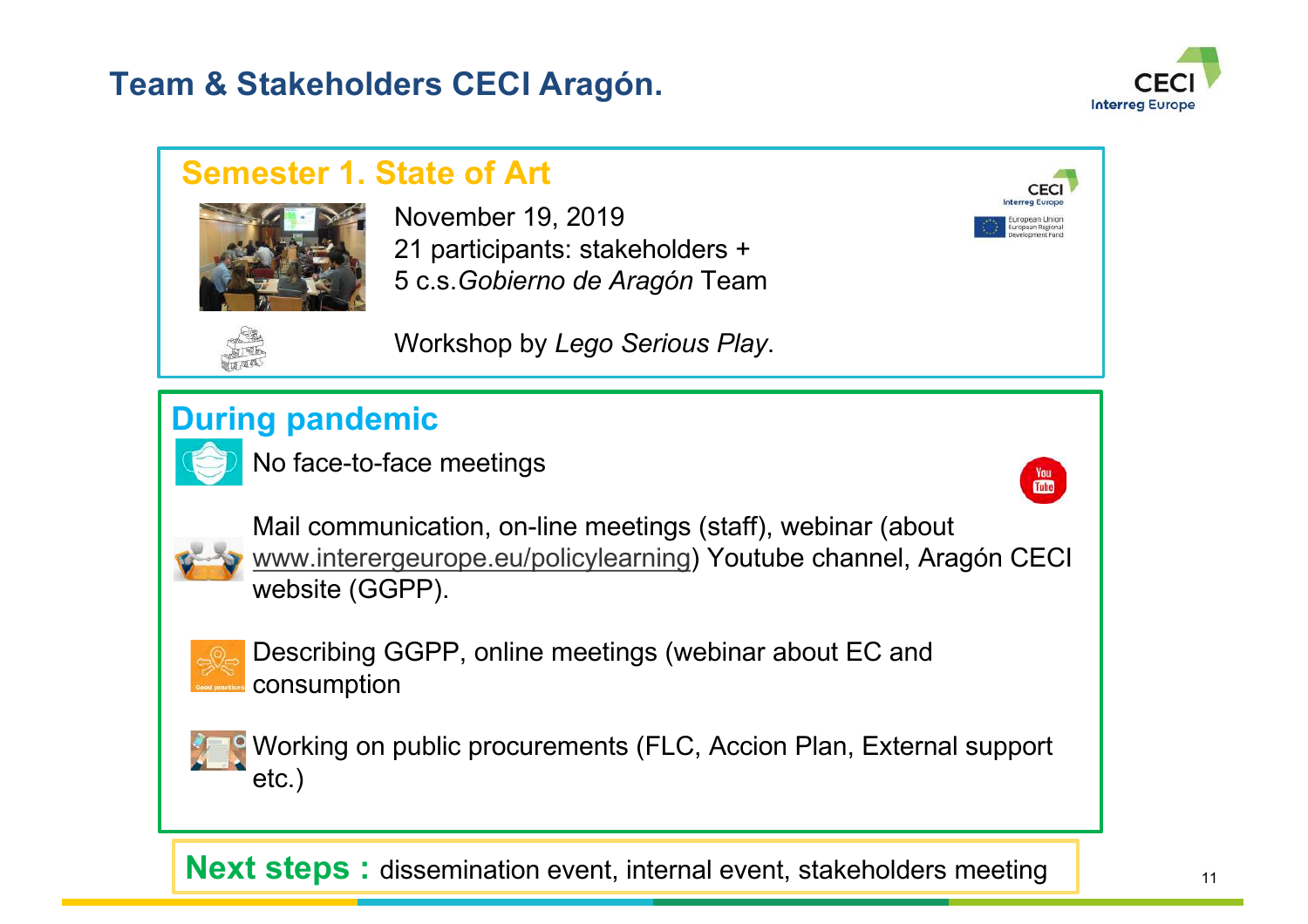## **Team & Stakeholders CECI Aragón.**



 $\frac{V_{0U}}{V_{0U}}$ 

### **Semester 1. State of Art**



November 19, 2019 21 participants: stakeholders + 5 c.s.*Gobierno de Aragón* Team



Workshop by *Lego Serious Play*.

# **During pandemic**

No face-to-face meetings



Mail communication, on-line meetings (staff), webinar (about www.interergeurope.eu/policylearning) Youtube channel, Aragón CECI website (GGPP).



Describing GGPP, online meetings (webinar about EC and consumption



Working on public procurements (FLC, Accion Plan, External support etc.)

**Next steps :** dissemination event, internal event, stakeholders meeting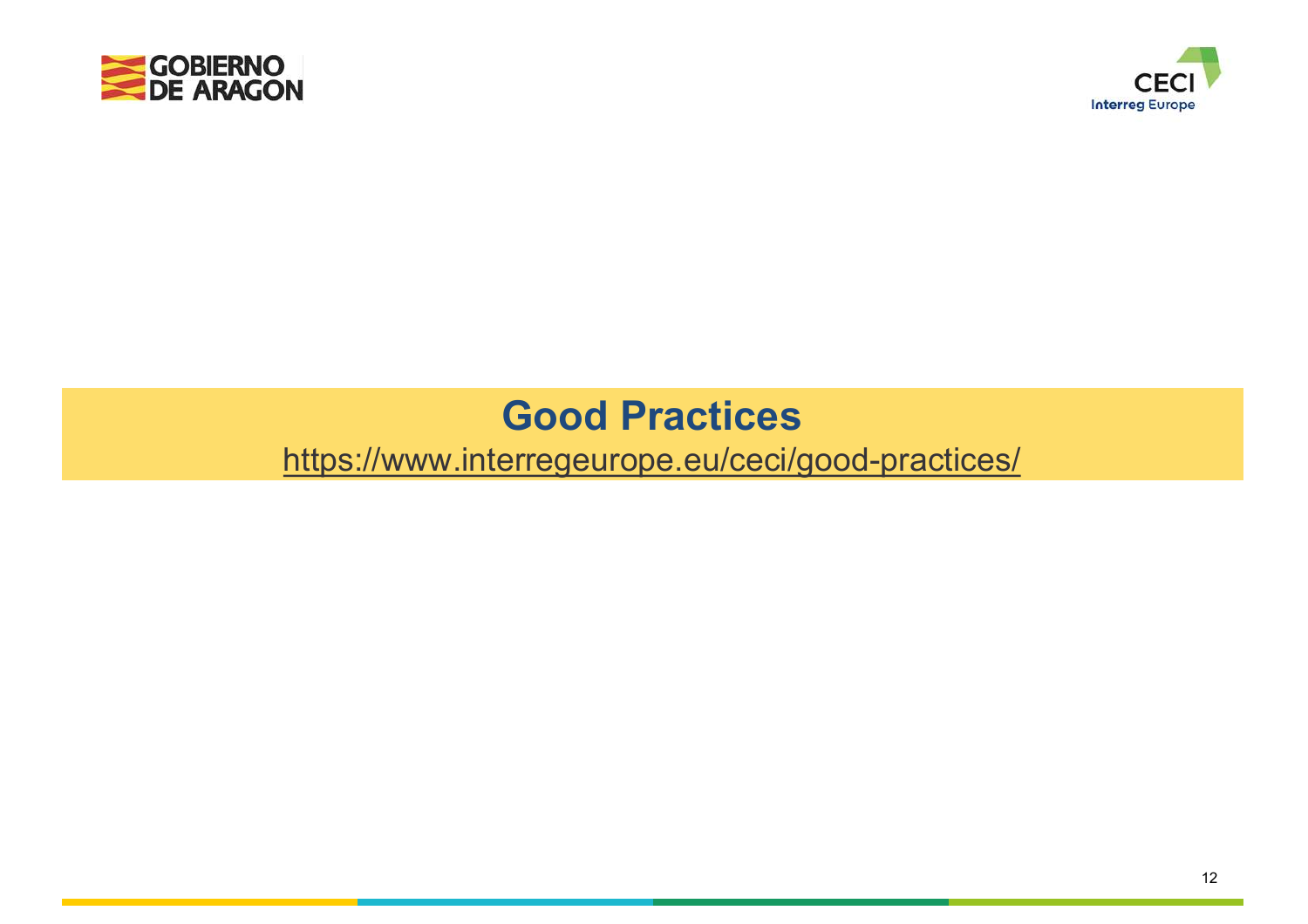



# **Good Practices**

https://www.interregeurope.eu/ceci/good-practices/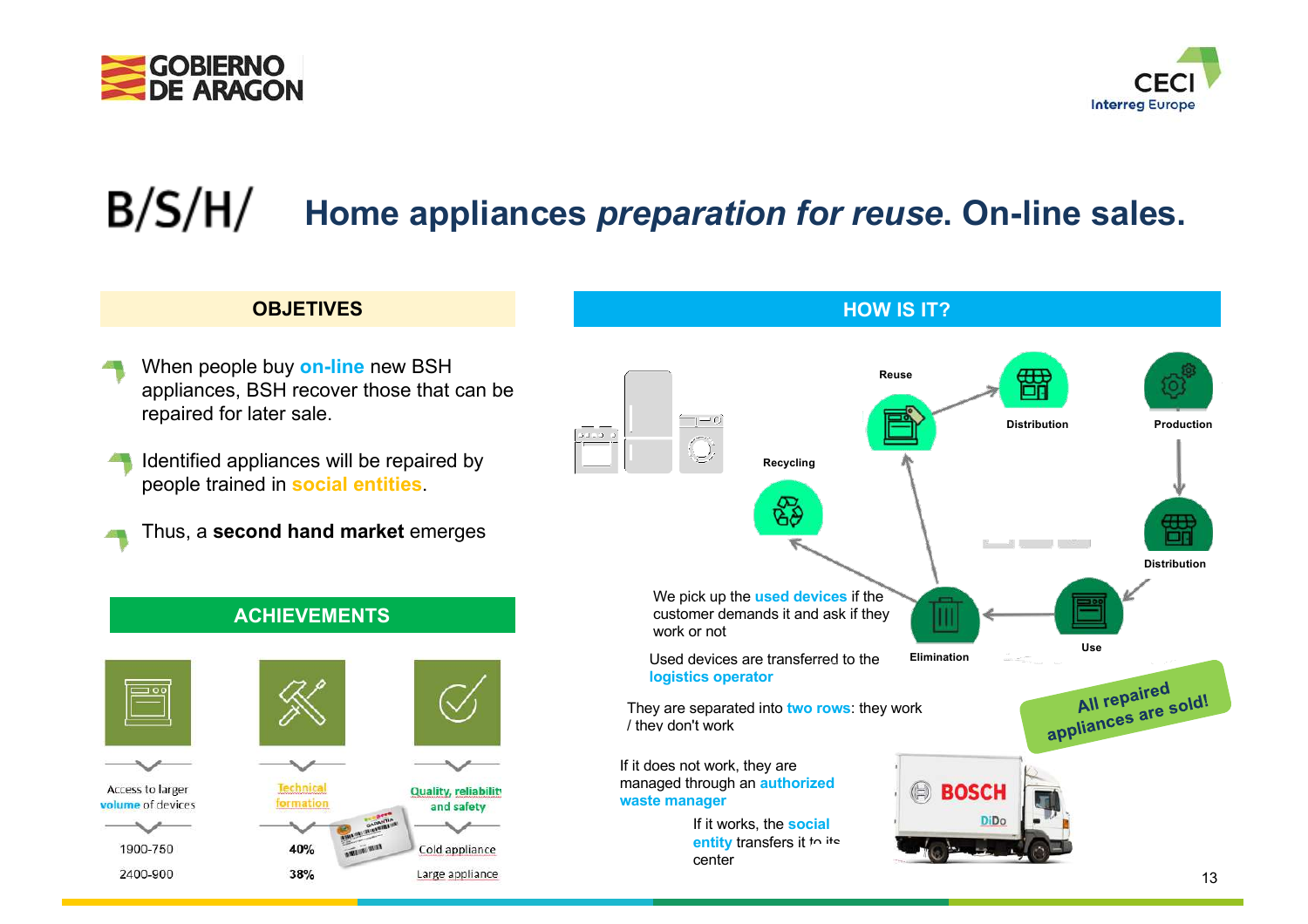



#### $B/S/H/$ **Home appliances** *preparation for reuse***. On-line sales.**

#### **OBJETIVES**

- When people buy **on-line** new BSH appliances, BSH recover those that can be repaired for later sale.
- Identified appliances will be repaired by people trained in **social entities**.
	- Thus, a **second hand market** emerges

**ACHIEVEMENTS**



#### **HOW IS IT? Reuse** æ  $\frac{1}{\sqrt{2}}$ **DistributionProduction Recycling** ŦH. 医一种点 计过程 **Distribution** We pick up the **used devices** if the customer demands it and ask if they work or not **Use** Used devices are transferred to the **Elimination logistics operator** All repaired All repaired<br>appliances are sold! They are separated into **two rows**: they work / they don't work If it does not work, they are managed through an **authorized BOSCH**  $(\exists)$ **waste manager** If it works, the **social entity** transfers it to its center

#### 13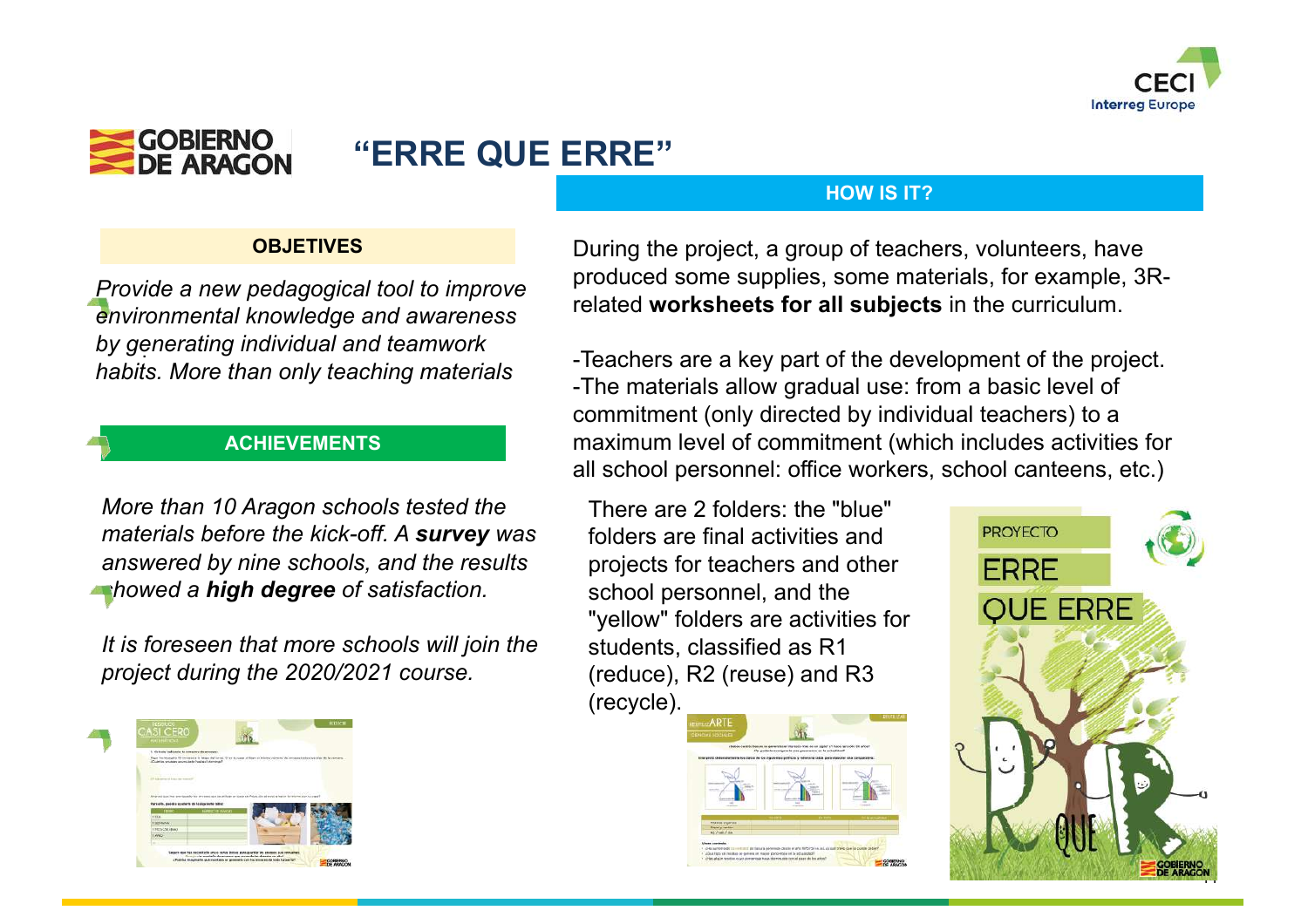



## **"ERRE QUE ERRE"**

#### **HOW IS IT?**

#### **OBJETIVES**

. *by generating individual and teamwork Provide a new pedagogical tool to improve environmental knowledge and awareness habits. More than only teaching materials*

#### **ACHIEVEMENTS**

*More than 10 Aragon schools tested the materials before the kick-off. A survey was answered by nine schools, and the results showed a high degree of satisfaction.*

*It is foreseen that more schools will join the project during the 2020/2021 course.*



During the project, a group of teachers, volunteers, have produced some supplies, some materials, for example, 3Rrelated **worksheets for all subjects** in the curriculum.

-Teachers are a key part of the development of the project. -The materials allow gradual use: from a basic level of commitment (only directed by individual teachers) to a maximum level of commitment (which includes activities for all school personnel: office workers, school canteens, etc.)

There are 2 folders: the "blue" folders are final activities and projects for teachers and other school personnel, and the "yellow" folders are activities for students, classified as R1 (reduce), R2 (reuse) and R3 (recycle).